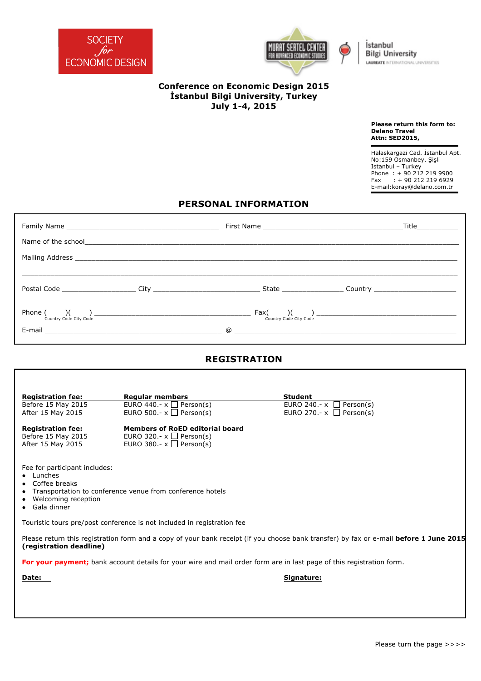



İstanbul **Bilgi University LAUREATE** INTERNATIONAL UNIVERSITIES

## **Conference on Economic Design 2015 İstanbul Bilgi University, Turkey July 1-4, 2015**

**Please return this form to: Delano Travel Attn: SED2015,** 

 Halaskargazi Cad. İstanbul Apt. No:159 Osmanbey, Şişli Istanbul – Turkey Phone : + 90 212 219 9900 Fax : + 90 212 219 6929 E-mail:koray@delano.com.tr

## **PERSONAL INFORMATION**

|                                                | Mailing Address <b>State Address</b> and the second state of the second state of the second state of the second state of the second state of the second state of the second state of the second state of the second state of the se                                                                                                                                                                                             |                                                                      |  |
|------------------------------------------------|---------------------------------------------------------------------------------------------------------------------------------------------------------------------------------------------------------------------------------------------------------------------------------------------------------------------------------------------------------------------------------------------------------------------------------|----------------------------------------------------------------------|--|
|                                                |                                                                                                                                                                                                                                                                                                                                                                                                                                 |                                                                      |  |
|                                                |                                                                                                                                                                                                                                                                                                                                                                                                                                 |                                                                      |  |
|                                                |                                                                                                                                                                                                                                                                                                                                                                                                                                 |                                                                      |  |
|                                                | Phone $\begin{pmatrix} 0 & 1 \end{pmatrix}$ $\begin{pmatrix} 0 & 1 \end{pmatrix}$ $\begin{pmatrix} 0 & 0 \end{pmatrix}$ $\begin{pmatrix} 0 & 0 \end{pmatrix}$ $\begin{pmatrix} 0 & 0 \end{pmatrix}$ $\begin{pmatrix} 0 & 0 \end{pmatrix}$ $\begin{pmatrix} 0 & 0 \end{pmatrix}$ $\begin{pmatrix} 0 & 0 \end{pmatrix}$ $\begin{pmatrix} 0 & 0 \end{pmatrix}$ $\begin{pmatrix} 0 & 0 \end{pmatrix}$ $\begin{pmatrix} 0 & 0 \end{$ |                                                                      |  |
|                                                |                                                                                                                                                                                                                                                                                                                                                                                                                                 |                                                                      |  |
|                                                |                                                                                                                                                                                                                                                                                                                                                                                                                                 | <b>REGISTRATION</b>                                                  |  |
|                                                |                                                                                                                                                                                                                                                                                                                                                                                                                                 |                                                                      |  |
| <b>Registration fee:</b>                       | Regular members <b>Exercises Regular</b> members                                                                                                                                                                                                                                                                                                                                                                                | Student                                                              |  |
| Before 15 May 2015<br>After 15 May 2015        | EURO 440.- $x \square$ Person(s)<br>EURO 500.- $x \square$ Person(s)                                                                                                                                                                                                                                                                                                                                                            | EURO 240.- $x \square$ Person(s)<br>EURO 270.- $x \square$ Person(s) |  |
| <b>Registration fee:</b><br>Before 15 May 2015 | <b>Members of RoED editorial board</b><br>EURO 320.- $x \square$ Person(s)                                                                                                                                                                                                                                                                                                                                                      |                                                                      |  |
| After 15 May 2015                              | EURO 380.- $x \square$ Person(s)                                                                                                                                                                                                                                                                                                                                                                                                |                                                                      |  |
| Fee for participant includes:                  |                                                                                                                                                                                                                                                                                                                                                                                                                                 |                                                                      |  |
| $\bullet$ Lunches<br>• Coffee breaks           |                                                                                                                                                                                                                                                                                                                                                                                                                                 |                                                                      |  |
| • Welcoming reception                          | Transportation to conference venue from conference hotels                                                                                                                                                                                                                                                                                                                                                                       |                                                                      |  |
| • Gala dinner                                  |                                                                                                                                                                                                                                                                                                                                                                                                                                 |                                                                      |  |
|                                                | Touristic tours pre/post conference is not included in registration fee                                                                                                                                                                                                                                                                                                                                                         |                                                                      |  |
| (registration deadline)                        | Please return this registration form and a copy of your bank receipt (if you choose bank transfer) by fax or e-mail before 1 June 2015                                                                                                                                                                                                                                                                                          |                                                                      |  |
|                                                | For your payment; bank account details for your wire and mail order form are in last page of this registration form.                                                                                                                                                                                                                                                                                                            |                                                                      |  |
| Date:                                          |                                                                                                                                                                                                                                                                                                                                                                                                                                 | Signature:                                                           |  |
|                                                |                                                                                                                                                                                                                                                                                                                                                                                                                                 |                                                                      |  |
|                                                |                                                                                                                                                                                                                                                                                                                                                                                                                                 |                                                                      |  |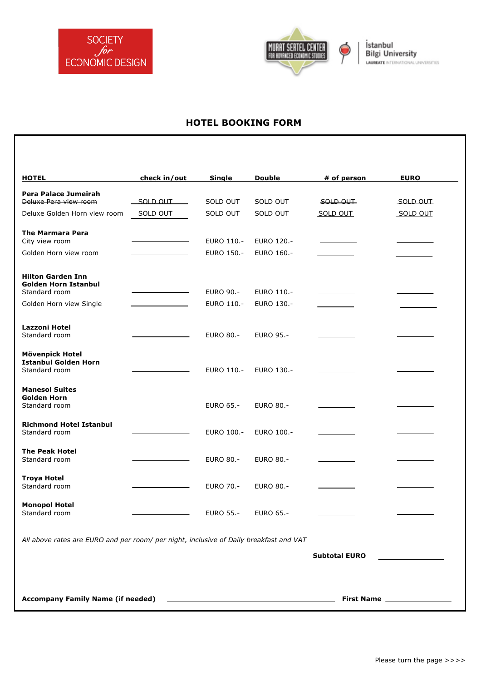



## **HOTEL BOOKING FORM**

| <b>HOTEL</b>                                                                           | check in/out | <b>Single</b>    | Double           | # of person          | <b>EURO</b>                   |
|----------------------------------------------------------------------------------------|--------------|------------------|------------------|----------------------|-------------------------------|
| Pera Palace Jumeirah                                                                   |              |                  |                  |                      |                               |
| Deluxe Pera view room                                                                  | SOLD OUT     | SOLD OUT         | SOLD OUT         | SOLD OUT             | SOLD OUT                      |
| Deluxe Golden Horn view room                                                           | SOLD OUT     | SOLD OUT         | SOLD OUT         | SOLD OUT             | SOLD OUT                      |
| <b>The Marmara Pera</b>                                                                |              |                  |                  |                      |                               |
| City view room                                                                         |              | EURO 110.-       | EURO 120.-       |                      |                               |
| Golden Horn view room                                                                  |              | EURO 150.-       | EURO 160.-       |                      |                               |
| <b>Hilton Garden Inn</b><br><b>Golden Horn Istanbul</b>                                |              |                  |                  |                      |                               |
| Standard room                                                                          |              | <b>EURO 90.-</b> | EURO 110.-       |                      |                               |
| Golden Horn view Single                                                                |              | EURO 110.-       | EURO 130.-       |                      |                               |
|                                                                                        |              |                  |                  |                      |                               |
| Lazzoni Hotel                                                                          |              |                  |                  |                      |                               |
| Standard room                                                                          |              | EURO 80.-        | <b>EURO 95.-</b> |                      |                               |
| <b>Mövenpick Hotel</b>                                                                 |              |                  |                  |                      |                               |
| <b>Istanbul Golden Horn</b><br>Standard room                                           |              | EURO 110.-       | EURO 130.-       |                      |                               |
|                                                                                        |              |                  |                  |                      |                               |
| <b>Manesol Suites</b>                                                                  |              |                  |                  |                      |                               |
| <b>Golden Horn</b><br>Standard room                                                    |              | <b>EURO 65.-</b> | <b>EURO 80.-</b> |                      |                               |
|                                                                                        |              |                  |                  |                      |                               |
| <b>Richmond Hotel Istanbul</b>                                                         |              |                  |                  |                      |                               |
| Standard room                                                                          |              | EURO 100.-       | EURO 100 .-      |                      |                               |
| <b>The Peak Hotel</b>                                                                  |              |                  |                  |                      |                               |
| Standard room                                                                          |              | EURO 80.-        | <b>EURO 80.-</b> |                      |                               |
| <b>Troya Hotel</b>                                                                     |              |                  |                  |                      |                               |
| Standard room                                                                          |              | EURO 70.-        | <b>EURO 80.-</b> |                      |                               |
| <b>Monopol Hotel</b>                                                                   |              |                  |                  |                      |                               |
| Standard room                                                                          |              | <b>EURO 55.-</b> | EURO 65.-        |                      |                               |
| All above rates are EURO and per room/ per night, inclusive of Daily breakfast and VAT |              |                  |                  |                      |                               |
|                                                                                        |              |                  |                  | <b>Subtotal EURO</b> |                               |
|                                                                                        |              |                  |                  |                      |                               |
|                                                                                        |              |                  |                  |                      |                               |
|                                                                                        |              |                  |                  |                      |                               |
|                                                                                        |              |                  |                  |                      | First Name __________________ |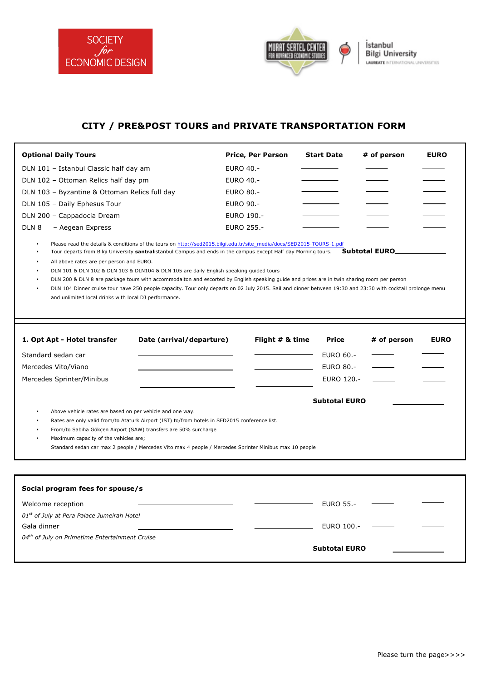

 $\blacksquare$ 



## **CITY / PRE&POST TOURS and PRIVATE TRANSPORTATION FORM**

| <b>Optional Daily Tours</b>                                                                                    |                                                                                                                                                                                                                                                                                                                                                                                                                                                                                                                                                                                                                                                |                  | Price, Per Person | Start Date           | # of person           | <b>EURO</b> |
|----------------------------------------------------------------------------------------------------------------|------------------------------------------------------------------------------------------------------------------------------------------------------------------------------------------------------------------------------------------------------------------------------------------------------------------------------------------------------------------------------------------------------------------------------------------------------------------------------------------------------------------------------------------------------------------------------------------------------------------------------------------------|------------------|-------------------|----------------------|-----------------------|-------------|
| DLN 101 - Istanbul Classic half day am                                                                         |                                                                                                                                                                                                                                                                                                                                                                                                                                                                                                                                                                                                                                                | <b>EURO 40.-</b> |                   |                      |                       |             |
| DLN 102 - Ottoman Relics half day pm                                                                           |                                                                                                                                                                                                                                                                                                                                                                                                                                                                                                                                                                                                                                                | <b>EURO 40.-</b> |                   |                      |                       |             |
| DLN 103 - Byzantine & Ottoman Relics full day                                                                  |                                                                                                                                                                                                                                                                                                                                                                                                                                                                                                                                                                                                                                                | <b>EURO 80.-</b> |                   |                      |                       |             |
| DLN 105 - Daily Ephesus Tour                                                                                   |                                                                                                                                                                                                                                                                                                                                                                                                                                                                                                                                                                                                                                                | <b>EURO 90.-</b> |                   |                      |                       |             |
| DLN 200 - Cappadocia Dream                                                                                     |                                                                                                                                                                                                                                                                                                                                                                                                                                                                                                                                                                                                                                                | EURO 190.-       |                   |                      |                       |             |
| DLN <sub>8</sub><br>- Aegean Express                                                                           |                                                                                                                                                                                                                                                                                                                                                                                                                                                                                                                                                                                                                                                | EURO 255.-       |                   |                      |                       |             |
| All above rates are per person and EURO.<br>$\bullet$<br>and unlimited local drinks with local DJ performance. | Please read the details & conditions of the tours on http://sed2015.bilgi.edu.tr/site_media/docs/SED2015-TOURS-1.pdf<br>Tour departs from Bilgi University santralistanbul Campus and ends in the campus except Half day Morning tours.<br>DLN 101 & DLN 102 & DLN 103 & DLN104 & DLN 105 are daily English speaking guided tours<br>DLN 200 & DLN 8 are package tours with accommodaiton and escorted by English speaking guide and prices are in twin sharing room per person<br>DLN 104 Dinner cruise tour have 250 people capacity. Tour only departs on 02 July 2015. Sail and dinner between 19:30 and 23:30 with cocktail prolonge menu |                  |                   |                      | <b>Subtotal EURO_</b> |             |
|                                                                                                                |                                                                                                                                                                                                                                                                                                                                                                                                                                                                                                                                                                                                                                                |                  |                   |                      |                       |             |
| 1. Opt Apt - Hotel transfer                                                                                    | Date (arrival/departure)                                                                                                                                                                                                                                                                                                                                                                                                                                                                                                                                                                                                                       |                  | Flight $# 8$ time | Price                | # of person           | <b>EURO</b> |
| Standard sedan car                                                                                             |                                                                                                                                                                                                                                                                                                                                                                                                                                                                                                                                                                                                                                                |                  |                   | <b>EURO 60.-</b>     |                       |             |
| Mercedes Vito/Viano                                                                                            |                                                                                                                                                                                                                                                                                                                                                                                                                                                                                                                                                                                                                                                |                  |                   | <b>EURO 80.-</b>     |                       |             |
| Mercedes Sprinter/Minibus                                                                                      |                                                                                                                                                                                                                                                                                                                                                                                                                                                                                                                                                                                                                                                |                  |                   | EURO 120.-           |                       |             |
|                                                                                                                |                                                                                                                                                                                                                                                                                                                                                                                                                                                                                                                                                                                                                                                |                  |                   |                      |                       |             |
|                                                                                                                |                                                                                                                                                                                                                                                                                                                                                                                                                                                                                                                                                                                                                                                |                  |                   | <b>Subtotal EURO</b> |                       |             |
| Above vehicle rates are based on per vehicle and one way.<br>Maximum capacity of the vehicles are;             | Rates are only valid from/to Ataturk Airport (IST) to/from hotels in SED2015 conference list.<br>From/to Sabiha Gökçen Airport (SAW) transfers are 50% surcharge<br>Standard sedan car max 2 people / Mercedes Vito max 4 people / Mercedes Sprinter Minibus max 10 people                                                                                                                                                                                                                                                                                                                                                                     |                  |                   |                      |                       |             |
|                                                                                                                |                                                                                                                                                                                                                                                                                                                                                                                                                                                                                                                                                                                                                                                |                  |                   |                      |                       |             |
| Social program fees for spouse/s                                                                               |                                                                                                                                                                                                                                                                                                                                                                                                                                                                                                                                                                                                                                                |                  |                   |                      |                       |             |
| Welcome reception                                                                                              |                                                                                                                                                                                                                                                                                                                                                                                                                                                                                                                                                                                                                                                |                  |                   | <b>EURO 55.-</b>     |                       |             |
| 01st of July at Pera Palace Jumeirah Hotel                                                                     |                                                                                                                                                                                                                                                                                                                                                                                                                                                                                                                                                                                                                                                |                  |                   |                      |                       |             |
| Gala dinner                                                                                                    |                                                                                                                                                                                                                                                                                                                                                                                                                                                                                                                                                                                                                                                |                  |                   | EURO 100.-           |                       |             |
| 04th of July on Primetime Entertainment Cruise                                                                 |                                                                                                                                                                                                                                                                                                                                                                                                                                                                                                                                                                                                                                                |                  |                   |                      |                       |             |
|                                                                                                                |                                                                                                                                                                                                                                                                                                                                                                                                                                                                                                                                                                                                                                                |                  |                   | <b>Subtotal EURO</b> |                       |             |
|                                                                                                                |                                                                                                                                                                                                                                                                                                                                                                                                                                                                                                                                                                                                                                                |                  |                   |                      |                       |             |